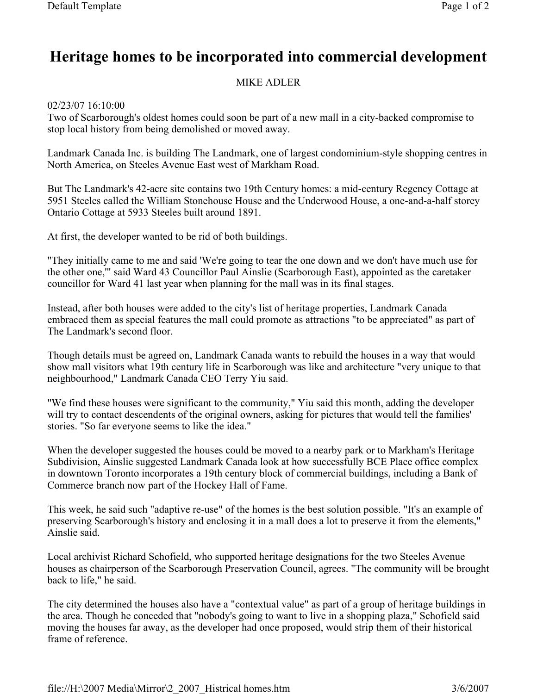## Heritage homes to be incorporated into commercial development

## MIKE ADLER

02/23/07 16:10:00

Two of Scarborough's oldest homes could soon be part of a new mall in a city-backed compromise to stop local history from being demolished or moved away.

Landmark Canada Inc. is building The Landmark, one of largest condominium-style shopping centres in North America, on Steeles Avenue East west of Markham Road.

But The Landmark's 42-acre site contains two 19th Century homes: a mid-century Regency Cottage at 5951 Steeles called the William Stonehouse House and the Underwood House, a one-and-a-half storey Ontario Cottage at 5933 Steeles built around 1891.

At first, the developer wanted to be rid of both buildings.

"They initially came to me and said 'We're going to tear the one down and we don't have much use for the other one,'" said Ward 43 Councillor Paul Ainslie (Scarborough East), appointed as the caretaker councillor for Ward 41 last year when planning for the mall was in its final stages.

Instead, after both houses were added to the city's list of heritage properties, Landmark Canada embraced them as special features the mall could promote as attractions "to be appreciated" as part of The Landmark's second floor.

Though details must be agreed on, Landmark Canada wants to rebuild the houses in a way that would show mall visitors what 19th century life in Scarborough was like and architecture "very unique to that neighbourhood," Landmark Canada CEO Terry Yiu said.

"We find these houses were significant to the community," Yiu said this month, adding the developer will try to contact descendents of the original owners, asking for pictures that would tell the families' stories. "So far everyone seems to like the idea."

When the developer suggested the houses could be moved to a nearby park or to Markham's Heritage Subdivision, Ainslie suggested Landmark Canada look at how successfully BCE Place office complex in downtown Toronto incorporates a 19th century block of commercial buildings, including a Bank of Commerce branch now part of the Hockey Hall of Fame.

This week, he said such "adaptive re-use" of the homes is the best solution possible. "It's an example of preserving Scarborough's history and enclosing it in a mall does a lot to preserve it from the elements," Ainslie said.

Local archivist Richard Schofield, who supported heritage designations for the two Steeles Avenue houses as chairperson of the Scarborough Preservation Council, agrees. "The community will be brought back to life," he said.

The city determined the houses also have a "contextual value" as part of a group of heritage buildings in the area. Though he conceded that "nobody's going to want to live in a shopping plaza," Schofield said moving the houses far away, as the developer had once proposed, would strip them of their historical frame of reference.